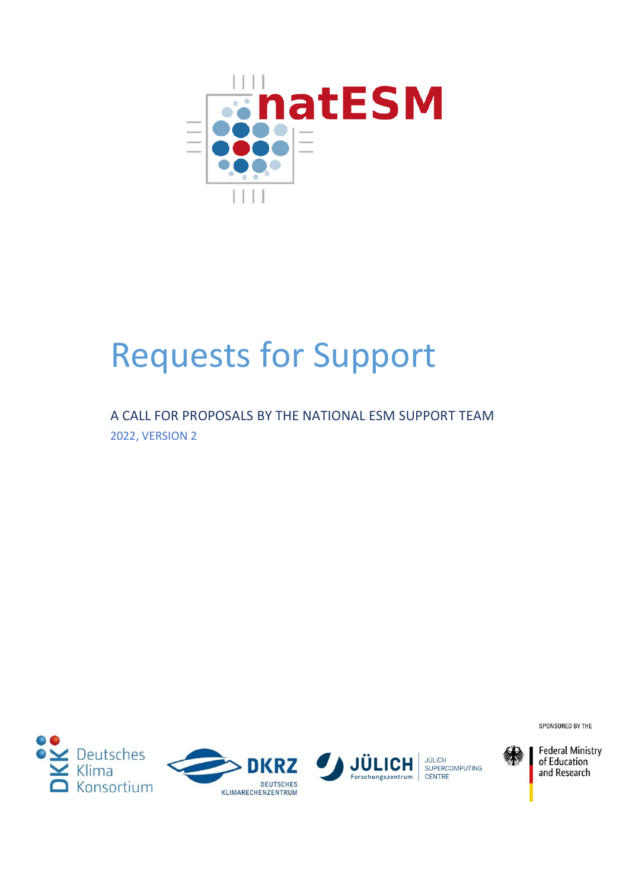

# Requests for Support

A CALL FOR PROPOSALS BY THE NATIONAL ESM SUPPORT TEAM 2022, VERSION 2



SPONSORED BY THE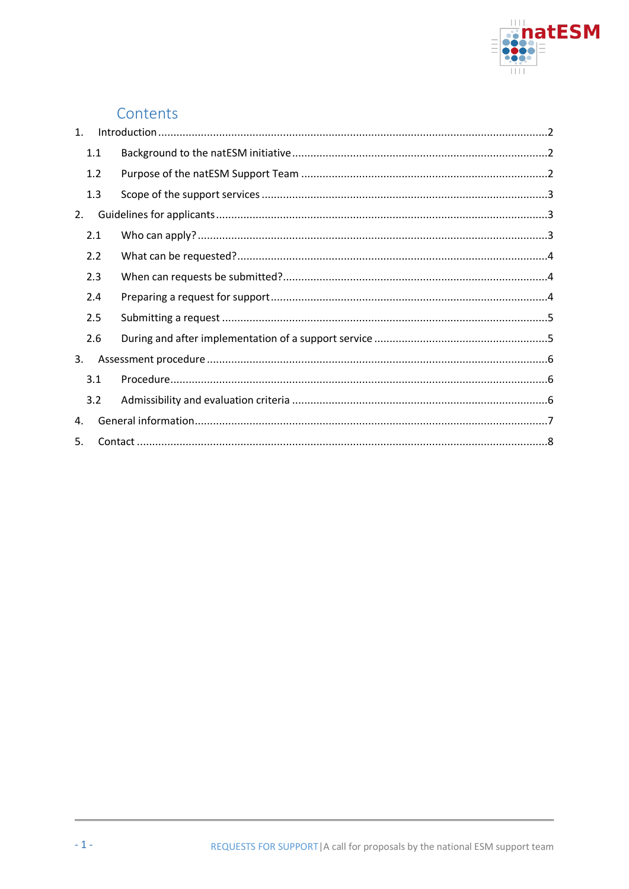

# Contents

| $\mathbf{1}$ . |     |  |
|----------------|-----|--|
|                | 1.1 |  |
|                | 1.2 |  |
|                | 1.3 |  |
| 2.             |     |  |
|                | 2.1 |  |
|                | 2.2 |  |
|                | 2.3 |  |
|                | 2.4 |  |
|                | 2.5 |  |
|                | 2.6 |  |
| 3.             |     |  |
|                | 3.1 |  |
|                | 3.2 |  |
| 4.             |     |  |
| 5.             |     |  |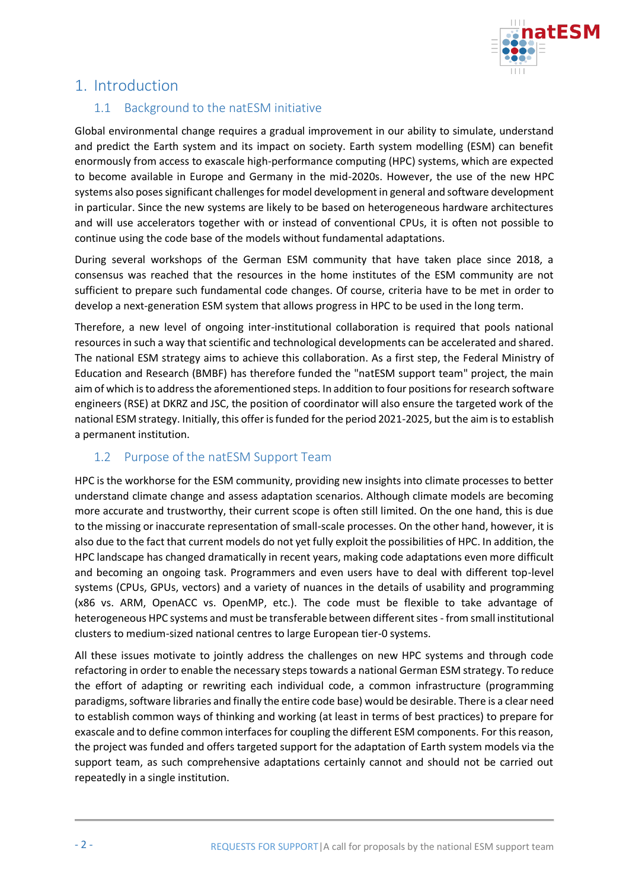

# <span id="page-2-1"></span><span id="page-2-0"></span>1. Introduction

#### 1.1 Background to the natESM initiative

Global environmental change requires a gradual improvement in our ability to simulate, understand and predict the Earth system and its impact on society. Earth system modelling (ESM) can benefit enormously from access to exascale high-performance computing (HPC) systems, which are expected to become available in Europe and Germany in the mid-2020s. However, the use of the new HPC systems also poses significant challenges for model development in general and software development in particular. Since the new systems are likely to be based on heterogeneous hardware architectures and will use accelerators together with or instead of conventional CPUs, it is often not possible to continue using the code base of the models without fundamental adaptations.

During several workshops of the German ESM community that have taken place since 2018, a consensus was reached that the resources in the home institutes of the ESM community are not sufficient to prepare such fundamental code changes. Of course, criteria have to be met in order to develop a next-generation ESM system that allows progress in HPC to be used in the long term.

Therefore, a new level of ongoing inter-institutional collaboration is required that pools national resources in such a way that scientific and technological developments can be accelerated and shared. The national ESM strategy aims to achieve this collaboration. As a first step, the Federal Ministry of Education and Research (BMBF) has therefore funded the "natESM support team" project, the main aim of which is to address the aforementioned steps. In addition to four positions for research software engineers (RSE) at DKRZ and JSC, the position of coordinator will also ensure the targeted work of the national ESM strategy. Initially, this offer is funded for the period 2021-2025, but the aim is to establish a permanent institution.

## <span id="page-2-2"></span>1.2 Purpose of the natESM Support Team

HPC is the workhorse for the ESM community, providing new insights into climate processes to better understand climate change and assess adaptation scenarios. Although climate models are becoming more accurate and trustworthy, their current scope is often still limited. On the one hand, this is due to the missing or inaccurate representation of small-scale processes. On the other hand, however, it is also due to the fact that current models do not yet fully exploit the possibilities of HPC. In addition, the HPC landscape has changed dramatically in recent years, making code adaptations even more difficult and becoming an ongoing task. Programmers and even users have to deal with different top-level systems (CPUs, GPUs, vectors) and a variety of nuances in the details of usability and programming (x86 vs. ARM, OpenACC vs. OpenMP, etc.). The code must be flexible to take advantage of heterogeneous HPC systems and must be transferable between different sites - from small institutional clusters to medium-sized national centres to large European tier-0 systems.

All these issues motivate to jointly address the challenges on new HPC systems and through code refactoring in order to enable the necessary steps towards a national German ESM strategy. To reduce the effort of adapting or rewriting each individual code, a common infrastructure (programming paradigms, software libraries and finally the entire code base) would be desirable. There is a clear need to establish common ways of thinking and working (at least in terms of best practices) to prepare for exascale and to define common interfaces for coupling the different ESM components. For this reason, the project was funded and offers targeted support for the adaptation of Earth system models via the support team, as such comprehensive adaptations certainly cannot and should not be carried out repeatedly in a single institution.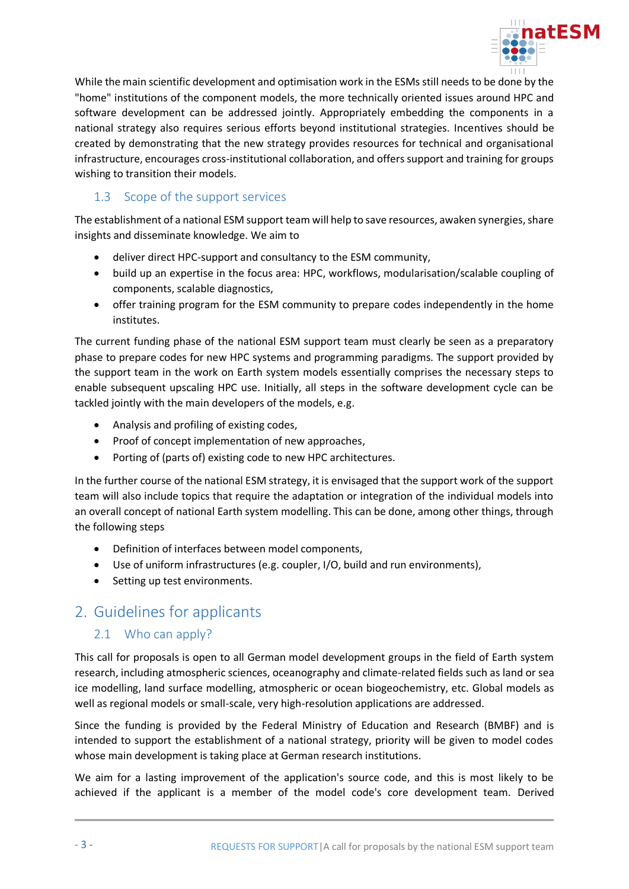

While the main scientific development and optimisation work in the ESMs still needs to be done by the "home" institutions of the component models, the more technically oriented issues around HPC and software development can be addressed jointly. Appropriately embedding the components in a national strategy also requires serious efforts beyond institutional strategies. Incentives should be created by demonstrating that the new strategy provides resources for technical and organisational infrastructure, encourages cross-institutional collaboration, and offers support and training for groups wishing to transition their models.

### <span id="page-3-0"></span>1.3 Scope of the support services

The establishment of a national ESM support team will help to save resources, awaken synergies, share insights and disseminate knowledge. We aim to

- deliver direct HPC-support and consultancy to the ESM community,
- build up an expertise in the focus area: HPC, workflows, modularisation/scalable coupling of components, scalable diagnostics,
- offer training program for the ESM community to prepare codes independently in the home institutes.

The current funding phase of the national ESM support team must clearly be seen as a preparatory phase to prepare codes for new HPC systems and programming paradigms. The support provided by the support team in the work on Earth system models essentially comprises the necessary steps to enable subsequent upscaling HPC use. Initially, all steps in the software development cycle can be tackled jointly with the main developers of the models, e.g.

- Analysis and profiling of existing codes,
- Proof of concept implementation of new approaches,
- Porting of (parts of) existing code to new HPC architectures.

In the further course of the national ESM strategy, it is envisaged that the support work of the support team will also include topics that require the adaptation or integration of the individual models into an overall concept of national Earth system modelling. This can be done, among other things, through the following steps

- Definition of interfaces between model components,
- Use of uniform infrastructures (e.g. coupler, I/O, build and run environments),
- Setting up test environments.

# <span id="page-3-1"></span>2. Guidelines for applicants

## <span id="page-3-2"></span>2.1 Who can apply?

This call for proposals is open to all German model development groups in the field of Earth system research, including atmospheric sciences, oceanography and climate-related fields such as land or sea ice modelling, land surface modelling, atmospheric or ocean biogeochemistry, etc. Global models as well as regional models or small-scale, very high-resolution applications are addressed.

Since the funding is provided by the Federal Ministry of Education and Research (BMBF) and is intended to support the establishment of a national strategy, priority will be given to model codes whose main development is taking place at German research institutions.

We aim for a lasting improvement of the application's source code, and this is most likely to be achieved if the applicant is a member of the model code's core development team. Derived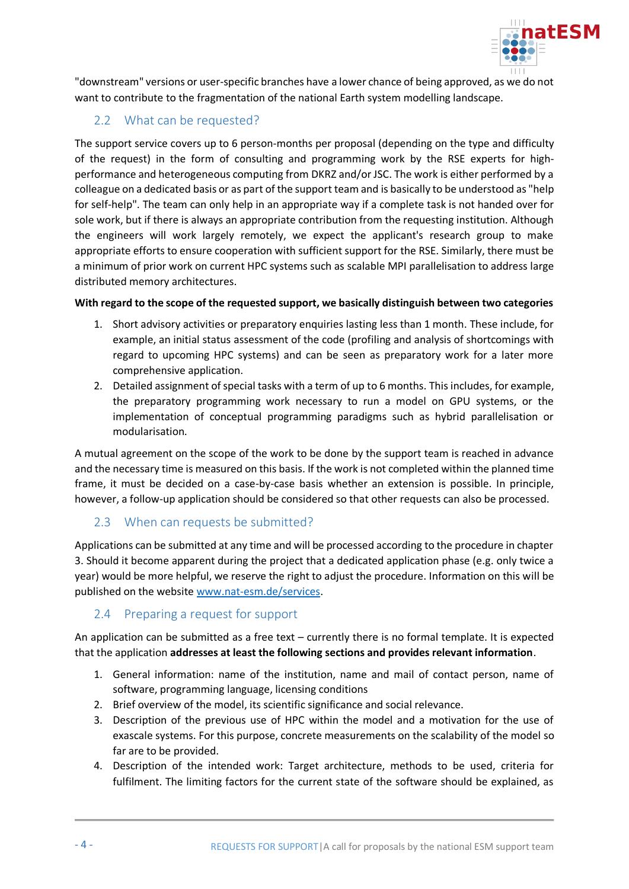

"downstream" versions or user-specific branches have a lower chance of being approved, as we do not want to contribute to the fragmentation of the national Earth system modelling landscape.

## <span id="page-4-0"></span>2.2 What can be requested?

The support service covers up to 6 person-months per proposal (depending on the type and difficulty of the request) in the form of consulting and programming work by the RSE experts for highperformance and heterogeneous computing from DKRZ and/or JSC. The work is either performed by a colleague on a dedicated basis or as part of the support team and is basically to be understood as "help for self-help". The team can only help in an appropriate way if a complete task is not handed over for sole work, but if there is always an appropriate contribution from the requesting institution. Although the engineers will work largely remotely, we expect the applicant's research group to make appropriate efforts to ensure cooperation with sufficient support for the RSE. Similarly, there must be a minimum of prior work on current HPC systems such as scalable MPI parallelisation to address large distributed memory architectures.

#### **With regard to the scope of the requested support, we basically distinguish between two categories**

- 1. Short advisory activities or preparatory enquiries lasting less than 1 month. These include, for example, an initial status assessment of the code (profiling and analysis of shortcomings with regard to upcoming HPC systems) and can be seen as preparatory work for a later more comprehensive application.
- 2. Detailed assignment of special tasks with a term of up to 6 months. This includes, for example, the preparatory programming work necessary to run a model on GPU systems, or the implementation of conceptual programming paradigms such as hybrid parallelisation or modularisation.

A mutual agreement on the scope of the work to be done by the support team is reached in advance and the necessary time is measured on this basis. If the work is not completed within the planned time frame, it must be decided on a case-by-case basis whether an extension is possible. In principle, however, a follow-up application should be considered so that other requests can also be processed.

#### <span id="page-4-1"></span>2.3 When can requests be submitted?

Applications can be submitted at any time and will be processed according to the procedure in chapter [3.](#page-6-0) Should it become apparent during the project that a dedicated application phase (e.g. only twice a year) would be more helpful, we reserve the right to adjust the procedure. Information on this will be published on the website [www.nat-esm.de/](https://www.nat-esm.de/)services.

#### <span id="page-4-2"></span>2.4 Preparing a request for support

An application can be submitted as a free text – currently there is no formal template. It is expected that the application **addresses at least the following sections and provides relevant information**.

- 1. General information: name of the institution, name and mail of contact person, name of software, programming language, licensing conditions
- 2. Brief overview of the model, its scientific significance and social relevance.
- 3. Description of the previous use of HPC within the model and a motivation for the use of exascale systems. For this purpose, concrete measurements on the scalability of the model so far are to be provided.
- 4. Description of the intended work: Target architecture, methods to be used, criteria for fulfilment. The limiting factors for the current state of the software should be explained, as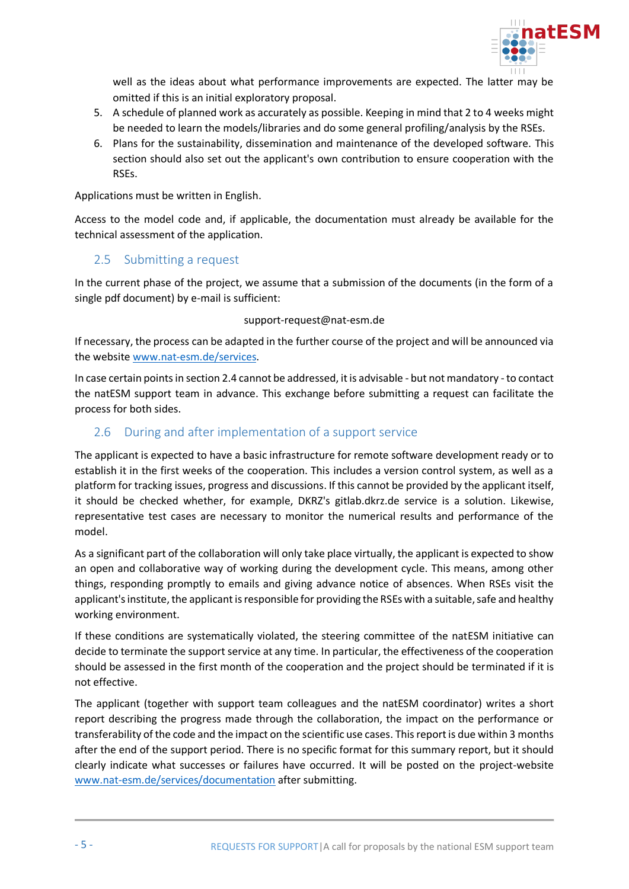

well as the ideas about what performance improvements are expected. The latter may be omitted if this is an initial exploratory proposal.

- 5. A schedule of planned work as accurately as possible. Keeping in mind that 2 to 4 weeks might be needed to learn the models/libraries and do some general profiling/analysis by the RSEs.
- 6. Plans for the sustainability, dissemination and maintenance of the developed software. This section should also set out the applicant's own contribution to ensure cooperation with the RSEs.

Applications must be written in English.

Access to the model code and, if applicable, the documentation must already be available for the technical assessment of the application.

#### <span id="page-5-0"></span>2.5 Submitting a request

In the current phase of the project, we assume that a submission of the documents (in the form of a single pdf document) by e-mail is sufficient:

#### support-request@nat-esm.de

If necessary, the process can be adapted in the further course of the project and will be announced via the website [www.nat-esm.de/services.](http://www.nat-esm.de/services)

In case certain points in sectio[n 2.4](#page-4-2) cannot be addressed, it is advisable - but not mandatory - to contact the natESM support team in advance. This exchange before submitting a request can facilitate the process for both sides.

#### <span id="page-5-1"></span>2.6 During and after implementation of a support service

The applicant is expected to have a basic infrastructure for remote software development ready or to establish it in the first weeks of the cooperation. This includes a version control system, as well as a platform for tracking issues, progress and discussions. If this cannot be provided by the applicant itself, it should be checked whether, for example, DKRZ's gitlab.dkrz.de service is a solution. Likewise, representative test cases are necessary to monitor the numerical results and performance of the model.

As a significant part of the collaboration will only take place virtually, the applicant is expected to show an open and collaborative way of working during the development cycle. This means, among other things, responding promptly to emails and giving advance notice of absences. When RSEs visit the applicant's institute, the applicant is responsible for providing the RSEs with a suitable, safe and healthy working environment.

If these conditions are systematically violated, the steering committee of the natESM initiative can decide to terminate the support service at any time. In particular, the effectiveness of the cooperation should be assessed in the first month of the cooperation and the project should be terminated if it is not effective.

The applicant (together with support team colleagues and the natESM coordinator) writes a short report describing the progress made through the collaboration, the impact on the performance or transferability of the code and the impact on the scientific use cases. This report is due within 3 months after the end of the support period. There is no specific format for this summary report, but it should clearly indicate what successes or failures have occurred. It will be posted on the project-website [www.nat-esm.de/services/documentation](http://www.nat-esm.de/services/documentation) after submitting.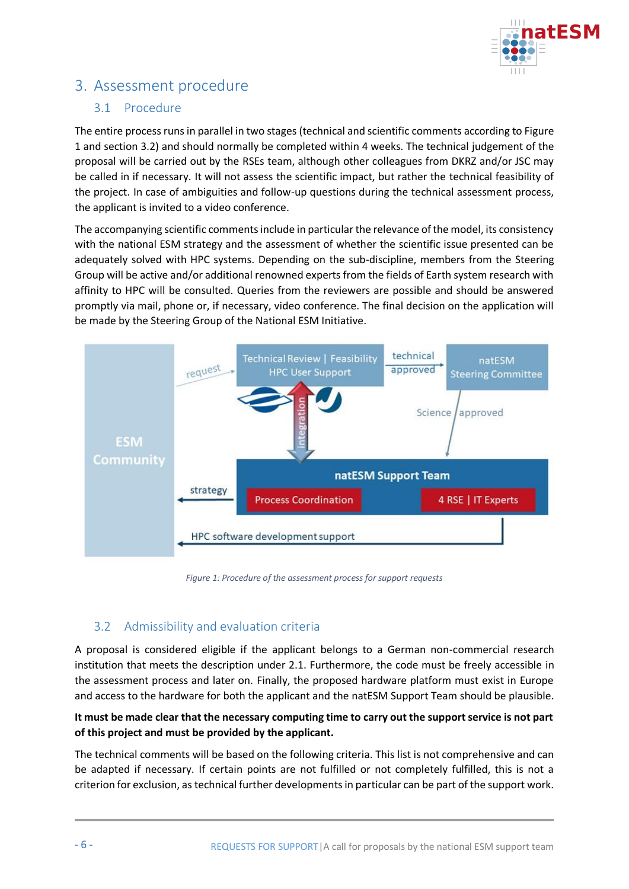

# <span id="page-6-0"></span>3. Assessment procedure

#### <span id="page-6-1"></span>3.1 Procedure

The entire process runs in parallel in two stages (technical and scientific comments according t[o Figure](#page-6-3)  [1](#page-6-3) and section [3.2\)](#page-6-2) and should normally be completed within 4 weeks. The technical judgement of the proposal will be carried out by the RSEs team, although other colleagues from DKRZ and/or JSC may be called in if necessary. It will not assess the scientific impact, but rather the technical feasibility of the project. In case of ambiguities and follow-up questions during the technical assessment process, the applicant is invited to a video conference.

The accompanying scientific comments include in particular the relevance of the model, its consistency with the national ESM strategy and the assessment of whether the scientific issue presented can be adequately solved with HPC systems. Depending on the sub-discipline, members from the Steering Group will be active and/or additional renowned experts from the fields of Earth system research with affinity to HPC will be consulted. Queries from the reviewers are possible and should be answered promptly via mail, phone or, if necessary, video conference. The final decision on the application will be made by the Steering Group of the National ESM Initiative.



*Figure 1: Procedure of the assessment process for support requests*

## <span id="page-6-3"></span><span id="page-6-2"></span>3.2 Admissibility and evaluation criteria

A proposal is considered eligible if the applicant belongs to a German non-commercial research institution that meets the description under [2.1.](#page-3-2) Furthermore, the code must be freely accessible in the assessment process and later on. Finally, the proposed hardware platform must exist in Europe and access to the hardware for both the applicant and the natESM Support Team should be plausible.

#### **It must be made clear that the necessary computing time to carry out the support service is not part of this project and must be provided by the applicant.**

The technical comments will be based on the following criteria. This list is not comprehensive and can be adapted if necessary. If certain points are not fulfilled or not completely fulfilled, this is not a criterion for exclusion, as technical further developments in particular can be part of the support work.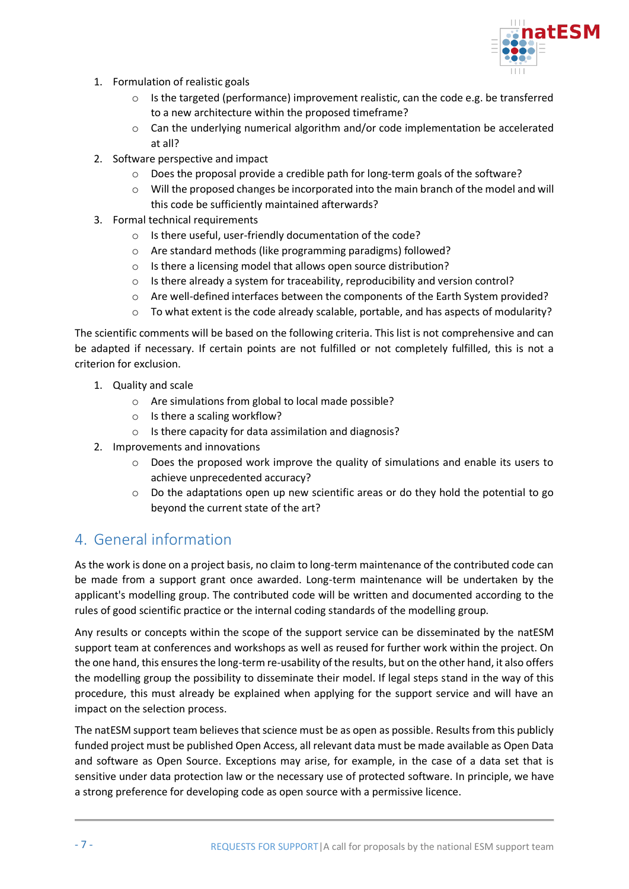

- 1. Formulation of realistic goals
	- o Is the targeted (performance) improvement realistic, can the code e.g. be transferred to a new architecture within the proposed timeframe?
	- o Can the underlying numerical algorithm and/or code implementation be accelerated at all?
- 2. Software perspective and impact
	- $\circ$  Does the proposal provide a credible path for long-term goals of the software?
	- $\circ$  Will the proposed changes be incorporated into the main branch of the model and will this code be sufficiently maintained afterwards?
- 3. Formal technical requirements
	- o Is there useful, user-friendly documentation of the code?
	- o Are standard methods (like programming paradigms) followed?
	- o Is there a licensing model that allows open source distribution?
	- $\circ$  Is there already a system for traceability, reproducibility and version control?
	- $\circ$  Are well-defined interfaces between the components of the Earth System provided?
	- $\circ$  To what extent is the code already scalable, portable, and has aspects of modularity?

The scientific comments will be based on the following criteria. This list is not comprehensive and can be adapted if necessary. If certain points are not fulfilled or not completely fulfilled, this is not a criterion for exclusion.

- 1. Quality and scale
	- o Are simulations from global to local made possible?
	- o Is there a scaling workflow?
	- o Is there capacity for data assimilation and diagnosis?
- 2. Improvements and innovations
	- o Does the proposed work improve the quality of simulations and enable its users to achieve unprecedented accuracy?
	- $\circ$  Do the adaptations open up new scientific areas or do they hold the potential to go beyond the current state of the art?

# <span id="page-7-0"></span>4. General information

As the work is done on a project basis, no claim to long-term maintenance of the contributed code can be made from a support grant once awarded. Long-term maintenance will be undertaken by the applicant's modelling group. The contributed code will be written and documented according to the rules of good scientific practice or the internal coding standards of the modelling group.

Any results or concepts within the scope of the support service can be disseminated by the natESM support team at conferences and workshops as well as reused for further work within the project. On the one hand, this ensures the long-term re-usability of the results, but on the other hand, it also offers the modelling group the possibility to disseminate their model. If legal steps stand in the way of this procedure, this must already be explained when applying for the support service and will have an impact on the selection process.

The natESM support team believes that science must be as open as possible. Results from this publicly funded project must be published Open Access, all relevant data must be made available as Open Data and software as Open Source. Exceptions may arise, for example, in the case of a data set that is sensitive under data protection law or the necessary use of protected software. In principle, we have a strong preference for developing code as open source with a permissive licence.